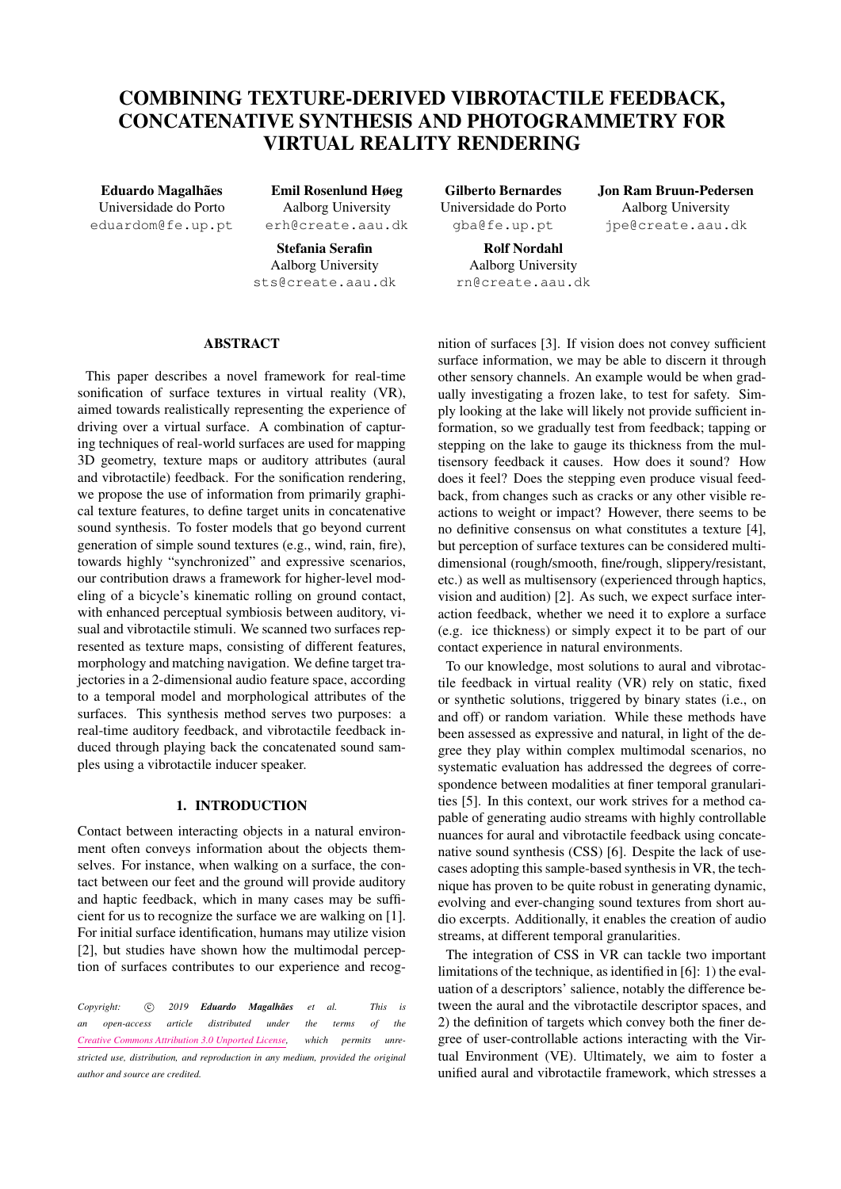# COMBINING TEXTURE-DERIVED VIBROTACTILE FEEDBACK, CONCATENATIVE SYNTHESIS AND PHOTOGRAMMETRY FOR VIRTUAL REALITY RENDERING

Eduardo Magalhães Universidade do Porto [eduardom@fe.up.pt](mailto:eduardom@fe.up.pt)

Emil Rosenlund Høeg Aalborg University [erh@create.aau.dk](mailto:erh@create.aau.dk)

Stefania Serafin Aalborg University [sts@create.aau.dk](mailto:sts@create.aau.dk)

Gilberto Bernardes Universidade do Porto [gba@fe.up.pt](mailto:gba@fe.up.pt)

> Rolf Nordahl Aalborg University [rn@create.aau.dk](mailto:rn@create.aau.dk)

Jon Ram Bruun-Pedersen Aalborg University [jpe@create.aau.dk](mailto:jpe@create.aau.dk)

# ABSTRACT

This paper describes a novel framework for real-time sonification of surface textures in virtual reality (VR), aimed towards realistically representing the experience of driving over a virtual surface. A combination of capturing techniques of real-world surfaces are used for mapping 3D geometry, texture maps or auditory attributes (aural and vibrotactile) feedback. For the sonification rendering, we propose the use of information from primarily graphical texture features, to define target units in concatenative sound synthesis. To foster models that go beyond current generation of simple sound textures (e.g., wind, rain, fire), towards highly "synchronized" and expressive scenarios, our contribution draws a framework for higher-level modeling of a bicycle's kinematic rolling on ground contact, with enhanced perceptual symbiosis between auditory, visual and vibrotactile stimuli. We scanned two surfaces represented as texture maps, consisting of different features, morphology and matching navigation. We define target trajectories in a 2-dimensional audio feature space, according to a temporal model and morphological attributes of the surfaces. This synthesis method serves two purposes: a real-time auditory feedback, and vibrotactile feedback induced through playing back the concatenated sound samples using a vibrotactile inducer speaker.

## 1. INTRODUCTION

Contact between interacting objects in a natural environment often conveys information about the objects themselves. For instance, when walking on a surface, the contact between our feet and the ground will provide auditory and haptic feedback, which in many cases may be sufficient for us to recognize the surface we are walking on [\[1\]](#page-6-0). For initial surface identification, humans may utilize vision [\[2\]](#page-6-1), but studies have shown how the multimodal perception of surfaces contributes to our experience and recog-

*Copyright:* c *2019 Eduardo Magalhães et al. This is an open-access article distributed under the terms of the [Creative Commons Attribution 3.0 Unported License,](http://creativecommons.org/licenses/by/3.0/) which permits unrestricted use, distribution, and reproduction in any medium, provided the original author and source are credited.*

nition of surfaces [\[3\]](#page-6-2). If vision does not convey sufficient surface information, we may be able to discern it through other sensory channels. An example would be when gradually investigating a frozen lake, to test for safety. Simply looking at the lake will likely not provide sufficient information, so we gradually test from feedback; tapping or stepping on the lake to gauge its thickness from the multisensory feedback it causes. How does it sound? How does it feel? Does the stepping even produce visual feedback, from changes such as cracks or any other visible reactions to weight or impact? However, there seems to be no definitive consensus on what constitutes a texture [\[4\]](#page-6-3), but perception of surface textures can be considered multidimensional (rough/smooth, fine/rough, slippery/resistant, etc.) as well as multisensory (experienced through haptics, vision and audition) [\[2\]](#page-6-1). As such, we expect surface interaction feedback, whether we need it to explore a surface (e.g. ice thickness) or simply expect it to be part of our contact experience in natural environments.

To our knowledge, most solutions to aural and vibrotactile feedback in virtual reality (VR) rely on static, fixed or synthetic solutions, triggered by binary states (i.e., on and off) or random variation. While these methods have been assessed as expressive and natural, in light of the degree they play within complex multimodal scenarios, no systematic evaluation has addressed the degrees of correspondence between modalities at finer temporal granularities [\[5\]](#page-6-4). In this context, our work strives for a method capable of generating audio streams with highly controllable nuances for aural and vibrotactile feedback using concatenative sound synthesis (CSS) [\[6\]](#page-6-5). Despite the lack of usecases adopting this sample-based synthesis in VR, the technique has proven to be quite robust in generating dynamic, evolving and ever-changing sound textures from short audio excerpts. Additionally, it enables the creation of audio streams, at different temporal granularities.

The integration of CSS in VR can tackle two important limitations of the technique, as identified in [\[6\]](#page-6-5): 1) the evaluation of a descriptors' salience, notably the difference between the aural and the vibrotactile descriptor spaces, and 2) the definition of targets which convey both the finer degree of user-controllable actions interacting with the Virtual Environment (VE). Ultimately, we aim to foster a unified aural and vibrotactile framework, which stresses a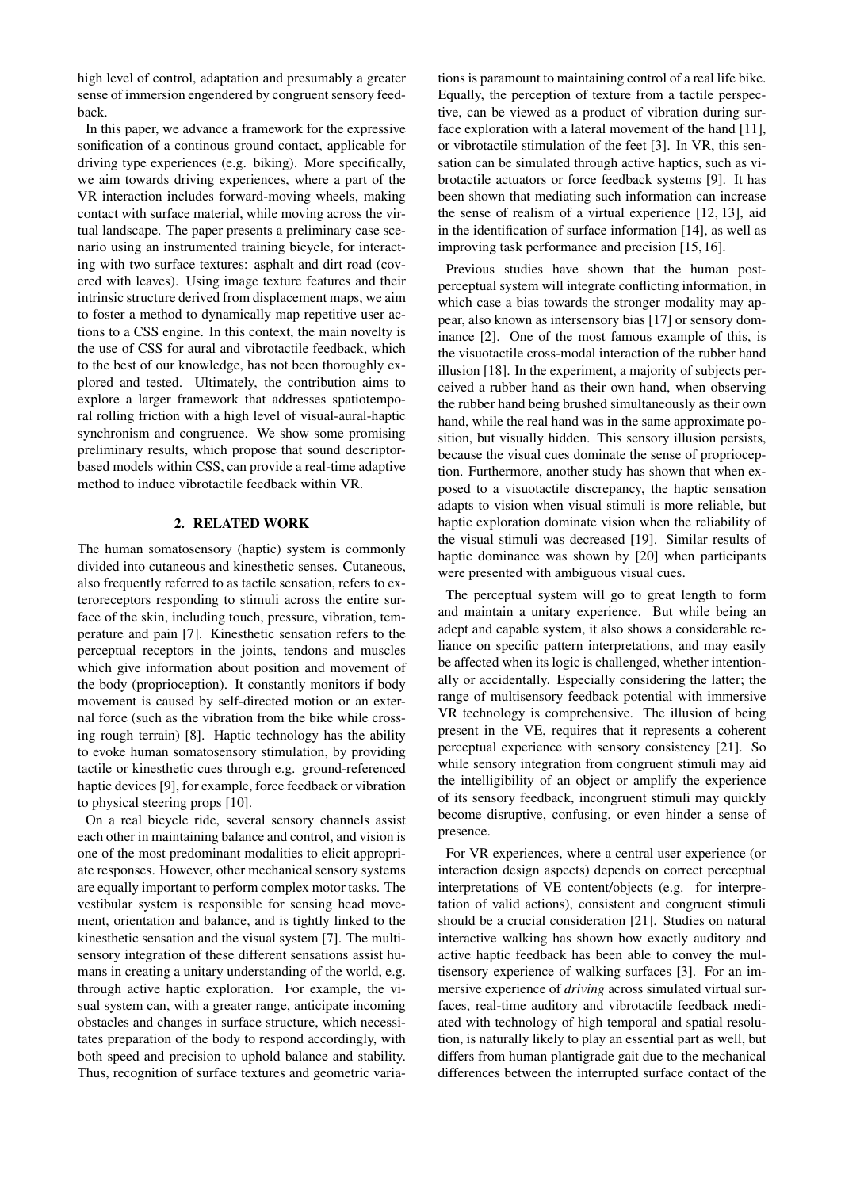high level of control, adaptation and presumably a greater sense of immersion engendered by congruent sensory feedback.

In this paper, we advance a framework for the expressive sonification of a continous ground contact, applicable for driving type experiences (e.g. biking). More specifically, we aim towards driving experiences, where a part of the VR interaction includes forward-moving wheels, making contact with surface material, while moving across the virtual landscape. The paper presents a preliminary case scenario using an instrumented training bicycle, for interacting with two surface textures: asphalt and dirt road (covered with leaves). Using image texture features and their intrinsic structure derived from displacement maps, we aim to foster a method to dynamically map repetitive user actions to a CSS engine. In this context, the main novelty is the use of CSS for aural and vibrotactile feedback, which to the best of our knowledge, has not been thoroughly explored and tested. Ultimately, the contribution aims to explore a larger framework that addresses spatiotemporal rolling friction with a high level of visual-aural-haptic synchronism and congruence. We show some promising preliminary results, which propose that sound descriptorbased models within CSS, can provide a real-time adaptive method to induce vibrotactile feedback within VR.

# 2. RELATED WORK

The human somatosensory (haptic) system is commonly divided into cutaneous and kinesthetic senses. Cutaneous, also frequently referred to as tactile sensation, refers to exteroreceptors responding to stimuli across the entire surface of the skin, including touch, pressure, vibration, temperature and pain [\[7\]](#page-6-6). Kinesthetic sensation refers to the perceptual receptors in the joints, tendons and muscles which give information about position and movement of the body (proprioception). It constantly monitors if body movement is caused by self-directed motion or an external force (such as the vibration from the bike while crossing rough terrain) [\[8\]](#page-6-7). Haptic technology has the ability to evoke human somatosensory stimulation, by providing tactile or kinesthetic cues through e.g. ground-referenced haptic devices [\[9\]](#page-6-8), for example, force feedback or vibration to physical steering props [\[10\]](#page-6-9).

On a real bicycle ride, several sensory channels assist each other in maintaining balance and control, and vision is one of the most predominant modalities to elicit appropriate responses. However, other mechanical sensory systems are equally important to perform complex motor tasks. The vestibular system is responsible for sensing head movement, orientation and balance, and is tightly linked to the kinesthetic sensation and the visual system [\[7\]](#page-6-6). The multisensory integration of these different sensations assist humans in creating a unitary understanding of the world, e.g. through active haptic exploration. For example, the visual system can, with a greater range, anticipate incoming obstacles and changes in surface structure, which necessitates preparation of the body to respond accordingly, with both speed and precision to uphold balance and stability. Thus, recognition of surface textures and geometric variations is paramount to maintaining control of a real life bike. Equally, the perception of texture from a tactile perspective, can be viewed as a product of vibration during surface exploration with a lateral movement of the hand [\[11\]](#page-6-10), or vibrotactile stimulation of the feet [\[3\]](#page-6-2). In VR, this sensation can be simulated through active haptics, such as vibrotactile actuators or force feedback systems [\[9\]](#page-6-8). It has been shown that mediating such information can increase the sense of realism of a virtual experience [\[12,](#page-6-11) [13\]](#page-6-12), aid in the identification of surface information [\[14\]](#page-7-0), as well as improving task performance and precision [\[15,](#page-7-1) [16\]](#page-7-2).

Previous studies have shown that the human postperceptual system will integrate conflicting information, in which case a bias towards the stronger modality may appear, also known as intersensory bias [\[17\]](#page-7-3) or sensory dominance [\[2\]](#page-6-1). One of the most famous example of this, is the visuotactile cross-modal interaction of the rubber hand illusion [\[18\]](#page-7-4). In the experiment, a majority of subjects perceived a rubber hand as their own hand, when observing the rubber hand being brushed simultaneously as their own hand, while the real hand was in the same approximate position, but visually hidden. This sensory illusion persists, because the visual cues dominate the sense of proprioception. Furthermore, another study has shown that when exposed to a visuotactile discrepancy, the haptic sensation adapts to vision when visual stimuli is more reliable, but haptic exploration dominate vision when the reliability of the visual stimuli was decreased [\[19\]](#page-7-5). Similar results of haptic dominance was shown by [\[20\]](#page-7-6) when participants were presented with ambiguous visual cues.

The perceptual system will go to great length to form and maintain a unitary experience. But while being an adept and capable system, it also shows a considerable reliance on specific pattern interpretations, and may easily be affected when its logic is challenged, whether intentionally or accidentally. Especially considering the latter; the range of multisensory feedback potential with immersive VR technology is comprehensive. The illusion of being present in the VE, requires that it represents a coherent perceptual experience with sensory consistency [\[21\]](#page-7-7). So while sensory integration from congruent stimuli may aid the intelligibility of an object or amplify the experience of its sensory feedback, incongruent stimuli may quickly become disruptive, confusing, or even hinder a sense of presence.

For VR experiences, where a central user experience (or interaction design aspects) depends on correct perceptual interpretations of VE content/objects (e.g. for interpretation of valid actions), consistent and congruent stimuli should be a crucial consideration [\[21\]](#page-7-7). Studies on natural interactive walking has shown how exactly auditory and active haptic feedback has been able to convey the multisensory experience of walking surfaces [\[3\]](#page-6-2). For an immersive experience of *driving* across simulated virtual surfaces, real-time auditory and vibrotactile feedback mediated with technology of high temporal and spatial resolution, is naturally likely to play an essential part as well, but differs from human plantigrade gait due to the mechanical differences between the interrupted surface contact of the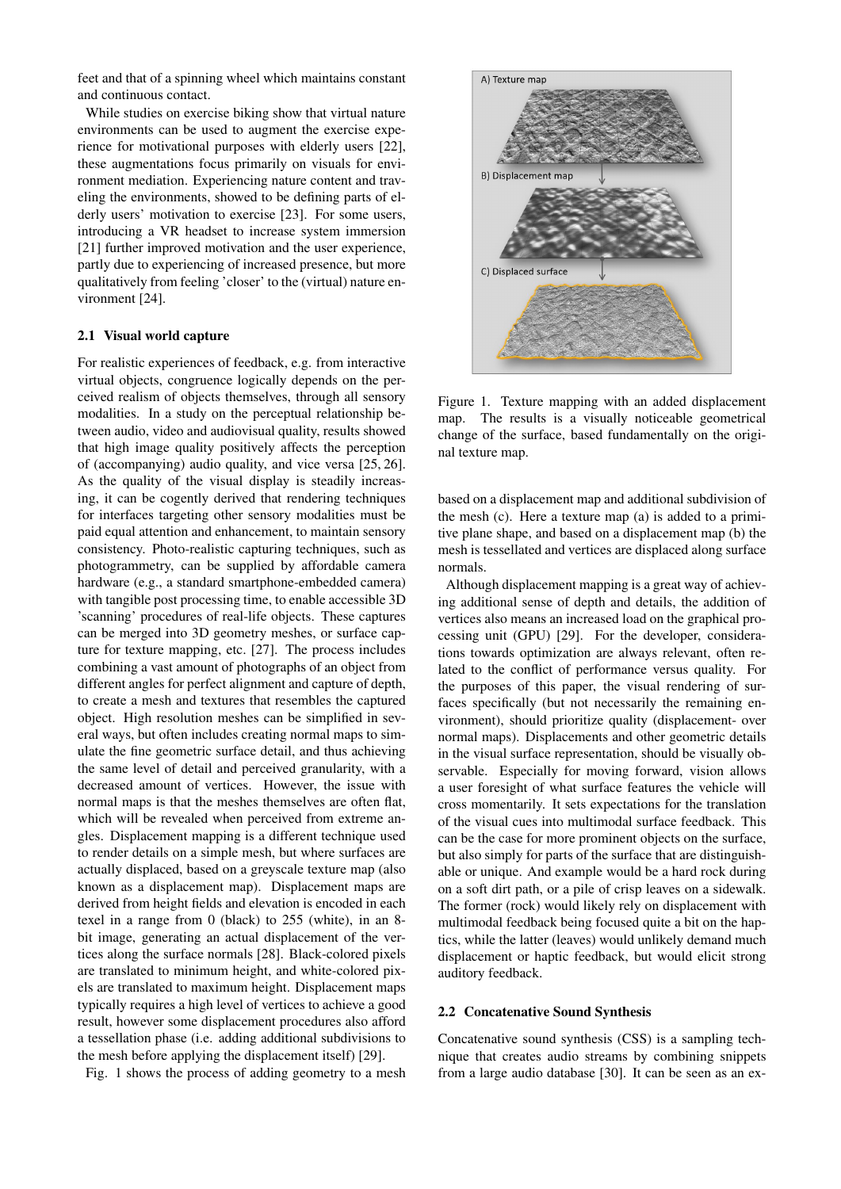feet and that of a spinning wheel which maintains constant and continuous contact.

While studies on exercise biking show that virtual nature environments can be used to augment the exercise experience for motivational purposes with elderly users [\[22\]](#page-7-8), these augmentations focus primarily on visuals for environment mediation. Experiencing nature content and traveling the environments, showed to be defining parts of elderly users' motivation to exercise [\[23\]](#page-7-9). For some users, introducing a VR headset to increase system immersion [\[21\]](#page-7-7) further improved motivation and the user experience, partly due to experiencing of increased presence, but more qualitatively from feeling 'closer' to the (virtual) nature environment [\[24\]](#page-7-10).

#### 2.1 Visual world capture

For realistic experiences of feedback, e.g. from interactive virtual objects, congruence logically depends on the perceived realism of objects themselves, through all sensory modalities. In a study on the perceptual relationship between audio, video and audiovisual quality, results showed that high image quality positively affects the perception of (accompanying) audio quality, and vice versa [\[25,](#page-7-11) [26\]](#page-7-12). As the quality of the visual display is steadily increasing, it can be cogently derived that rendering techniques for interfaces targeting other sensory modalities must be paid equal attention and enhancement, to maintain sensory consistency. Photo-realistic capturing techniques, such as photogrammetry, can be supplied by affordable camera hardware (e.g., a standard smartphone-embedded camera) with tangible post processing time, to enable accessible 3D 'scanning' procedures of real-life objects. These captures can be merged into 3D geometry meshes, or surface capture for texture mapping, etc. [\[27\]](#page-7-13). The process includes combining a vast amount of photographs of an object from different angles for perfect alignment and capture of depth, to create a mesh and textures that resembles the captured object. High resolution meshes can be simplified in several ways, but often includes creating normal maps to simulate the fine geometric surface detail, and thus achieving the same level of detail and perceived granularity, with a decreased amount of vertices. However, the issue with normal maps is that the meshes themselves are often flat, which will be revealed when perceived from extreme angles. Displacement mapping is a different technique used to render details on a simple mesh, but where surfaces are actually displaced, based on a greyscale texture map (also known as a displacement map). Displacement maps are derived from height fields and elevation is encoded in each texel in a range from 0 (black) to 255 (white), in an 8 bit image, generating an actual displacement of the vertices along the surface normals [\[28\]](#page-7-14). Black-colored pixels are translated to minimum height, and white-colored pixels are translated to maximum height. Displacement maps typically requires a high level of vertices to achieve a good result, however some displacement procedures also afford a tessellation phase (i.e. adding additional subdivisions to the mesh before applying the displacement itself) [\[29\]](#page-7-15).

Fig. [1](#page-2-0) shows the process of adding geometry to a mesh

<span id="page-2-0"></span>

Figure 1. Texture mapping with an added displacement map. The results is a visually noticeable geometrical change of the surface, based fundamentally on the original texture map.

based on a displacement map and additional subdivision of the mesh (c). Here a texture map (a) is added to a primitive plane shape, and based on a displacement map (b) the mesh is tessellated and vertices are displaced along surface normals.

Although displacement mapping is a great way of achieving additional sense of depth and details, the addition of vertices also means an increased load on the graphical processing unit (GPU) [\[29\]](#page-7-15). For the developer, considerations towards optimization are always relevant, often related to the conflict of performance versus quality. For the purposes of this paper, the visual rendering of surfaces specifically (but not necessarily the remaining environment), should prioritize quality (displacement- over normal maps). Displacements and other geometric details in the visual surface representation, should be visually observable. Especially for moving forward, vision allows a user foresight of what surface features the vehicle will cross momentarily. It sets expectations for the translation of the visual cues into multimodal surface feedback. This can be the case for more prominent objects on the surface, but also simply for parts of the surface that are distinguishable or unique. And example would be a hard rock during on a soft dirt path, or a pile of crisp leaves on a sidewalk. The former (rock) would likely rely on displacement with multimodal feedback being focused quite a bit on the haptics, while the latter (leaves) would unlikely demand much displacement or haptic feedback, but would elicit strong auditory feedback.

## 2.2 Concatenative Sound Synthesis

Concatenative sound synthesis (CSS) is a sampling technique that creates audio streams by combining snippets from a large audio database [\[30\]](#page-7-16). It can be seen as an ex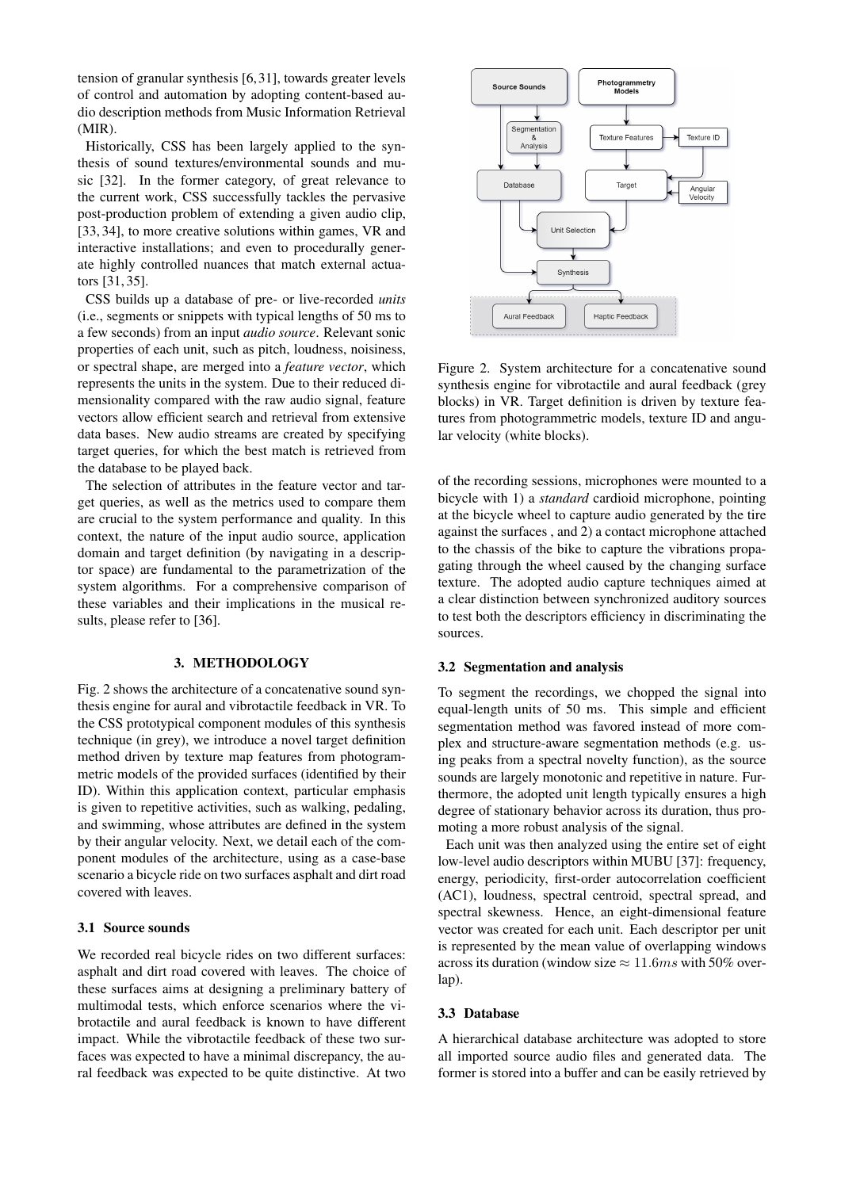tension of granular synthesis [\[6,](#page-6-5)[31\]](#page-7-17), towards greater levels of control and automation by adopting content-based audio description methods from Music Information Retrieval (MIR).

Historically, CSS has been largely applied to the synthesis of sound textures/environmental sounds and music [\[32\]](#page-7-18). In the former category, of great relevance to the current work, CSS successfully tackles the pervasive post-production problem of extending a given audio clip, [\[33,](#page-7-19) [34\]](#page-7-20), to more creative solutions within games, VR and interactive installations; and even to procedurally generate highly controlled nuances that match external actuators [\[31,](#page-7-17) [35\]](#page-7-21).

CSS builds up a database of pre- or live-recorded *units* (i.e., segments or snippets with typical lengths of 50 ms to a few seconds) from an input *audio source*. Relevant sonic properties of each unit, such as pitch, loudness, noisiness, or spectral shape, are merged into a *feature vector*, which represents the units in the system. Due to their reduced dimensionality compared with the raw audio signal, feature vectors allow efficient search and retrieval from extensive data bases. New audio streams are created by specifying target queries, for which the best match is retrieved from the database to be played back.

The selection of attributes in the feature vector and target queries, as well as the metrics used to compare them are crucial to the system performance and quality. In this context, the nature of the input audio source, application domain and target definition (by navigating in a descriptor space) are fundamental to the parametrization of the system algorithms. For a comprehensive comparison of these variables and their implications in the musical results, please refer to [\[36\]](#page-7-22).

# 3. METHODOLOGY

Fig. [2](#page-3-0) shows the architecture of a concatenative sound synthesis engine for aural and vibrotactile feedback in VR. To the CSS prototypical component modules of this synthesis technique (in grey), we introduce a novel target definition method driven by texture map features from photogrammetric models of the provided surfaces (identified by their ID). Within this application context, particular emphasis is given to repetitive activities, such as walking, pedaling, and swimming, whose attributes are defined in the system by their angular velocity. Next, we detail each of the component modules of the architecture, using as a case-base scenario a bicycle ride on two surfaces asphalt and dirt road covered with leaves.

## 3.1 Source sounds

We recorded real bicycle rides on two different surfaces: asphalt and dirt road covered with leaves. The choice of these surfaces aims at designing a preliminary battery of multimodal tests, which enforce scenarios where the vibrotactile and aural feedback is known to have different impact. While the vibrotactile feedback of these two surfaces was expected to have a minimal discrepancy, the aural feedback was expected to be quite distinctive. At two

<span id="page-3-0"></span>

Figure 2. System architecture for a concatenative sound synthesis engine for vibrotactile and aural feedback (grey blocks) in VR. Target definition is driven by texture features from photogrammetric models, texture ID and angular velocity (white blocks).

of the recording sessions, microphones were mounted to a bicycle with 1) a *standard* cardioid microphone, pointing at the bicycle wheel to capture audio generated by the tire against the surfaces , and 2) a contact microphone attached to the chassis of the bike to capture the vibrations propagating through the wheel caused by the changing surface texture. The adopted audio capture techniques aimed at a clear distinction between synchronized auditory sources to test both the descriptors efficiency in discriminating the sources.

#### 3.2 Segmentation and analysis

To segment the recordings, we chopped the signal into equal-length units of 50 ms. This simple and efficient segmentation method was favored instead of more complex and structure-aware segmentation methods (e.g. using peaks from a spectral novelty function), as the source sounds are largely monotonic and repetitive in nature. Furthermore, the adopted unit length typically ensures a high degree of stationary behavior across its duration, thus promoting a more robust analysis of the signal.

Each unit was then analyzed using the entire set of eight low-level audio descriptors within MUBU [\[37\]](#page-7-23): frequency, energy, periodicity, first-order autocorrelation coefficient (AC1), loudness, spectral centroid, spectral spread, and spectral skewness. Hence, an eight-dimensional feature vector was created for each unit. Each descriptor per unit is represented by the mean value of overlapping windows across its duration (window size  $\approx 11.6$ ms with 50% overlap).

#### 3.3 Database

A hierarchical database architecture was adopted to store all imported source audio files and generated data. The former is stored into a buffer and can be easily retrieved by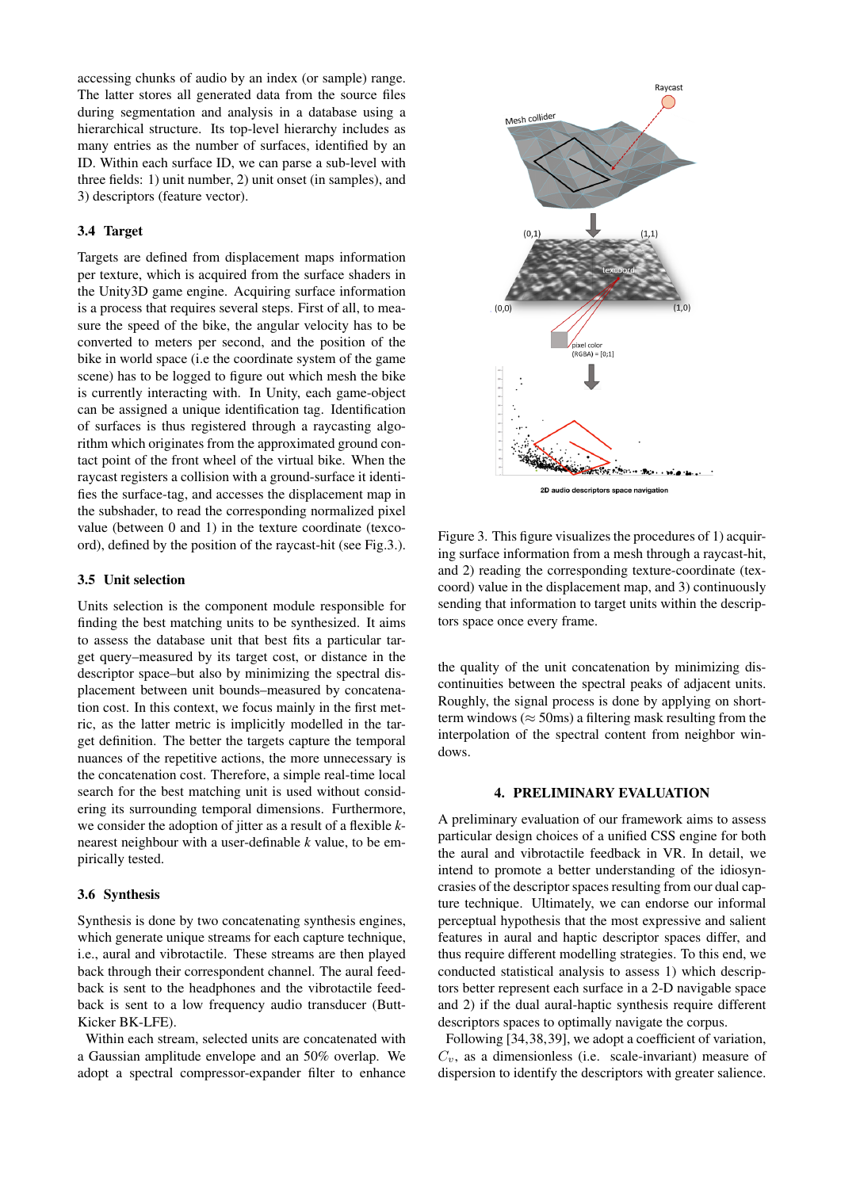accessing chunks of audio by an index (or sample) range. The latter stores all generated data from the source files during segmentation and analysis in a database using a hierarchical structure. Its top-level hierarchy includes as many entries as the number of surfaces, identified by an ID. Within each surface ID, we can parse a sub-level with three fields: 1) unit number, 2) unit onset (in samples), and 3) descriptors (feature vector).

## 3.4 Target

Targets are defined from displacement maps information per texture, which is acquired from the surface shaders in the Unity3D game engine. Acquiring surface information is a process that requires several steps. First of all, to measure the speed of the bike, the angular velocity has to be converted to meters per second, and the position of the bike in world space (i.e the coordinate system of the game scene) has to be logged to figure out which mesh the bike is currently interacting with. In Unity, each game-object can be assigned a unique identification tag. Identification of surfaces is thus registered through a raycasting algorithm which originates from the approximated ground contact point of the front wheel of the virtual bike. When the raycast registers a collision with a ground-surface it identifies the surface-tag, and accesses the displacement map in the subshader, to read the corresponding normalized pixel value (between 0 and 1) in the texture coordinate (texcoord), defined by the position of the raycast-hit (see Fig[.3.](#page-4-0)).

# 3.5 Unit selection

Units selection is the component module responsible for finding the best matching units to be synthesized. It aims to assess the database unit that best fits a particular target query–measured by its target cost, or distance in the descriptor space–but also by minimizing the spectral displacement between unit bounds–measured by concatenation cost. In this context, we focus mainly in the first metric, as the latter metric is implicitly modelled in the target definition. The better the targets capture the temporal nuances of the repetitive actions, the more unnecessary is the concatenation cost. Therefore, a simple real-time local search for the best matching unit is used without considering its surrounding temporal dimensions. Furthermore, we consider the adoption of jitter as a result of a flexible *k*nearest neighbour with a user-definable *k* value, to be empirically tested.

#### 3.6 Synthesis

Synthesis is done by two concatenating synthesis engines, which generate unique streams for each capture technique, i.e., aural and vibrotactile. These streams are then played back through their correspondent channel. The aural feedback is sent to the headphones and the vibrotactile feedback is sent to a low frequency audio transducer (Butt-Kicker BK-LFE).

Within each stream, selected units are concatenated with a Gaussian amplitude envelope and an 50% overlap. We adopt a spectral compressor-expander filter to enhance

<span id="page-4-0"></span>

Figure 3. This figure visualizes the procedures of 1) acquiring surface information from a mesh through a raycast-hit, and 2) reading the corresponding texture-coordinate (texcoord) value in the displacement map, and 3) continuously sending that information to target units within the descriptors space once every frame.

the quality of the unit concatenation by minimizing discontinuities between the spectral peaks of adjacent units. Roughly, the signal process is done by applying on shortterm windows ( $\approx$  50ms) a filtering mask resulting from the interpolation of the spectral content from neighbor windows.

#### 4. PRELIMINARY EVALUATION

A preliminary evaluation of our framework aims to assess particular design choices of a unified CSS engine for both the aural and vibrotactile feedback in VR. In detail, we intend to promote a better understanding of the idiosyncrasies of the descriptor spaces resulting from our dual capture technique. Ultimately, we can endorse our informal perceptual hypothesis that the most expressive and salient features in aural and haptic descriptor spaces differ, and thus require different modelling strategies. To this end, we conducted statistical analysis to assess 1) which descriptors better represent each surface in a 2-D navigable space and 2) if the dual aural-haptic synthesis require different descriptors spaces to optimally navigate the corpus.

Following [\[34,](#page-7-20)[38,](#page-7-24)[39\]](#page-7-25), we adopt a coefficient of variation,  $C_v$ , as a dimensionless (i.e. scale-invariant) measure of dispersion to identify the descriptors with greater salience.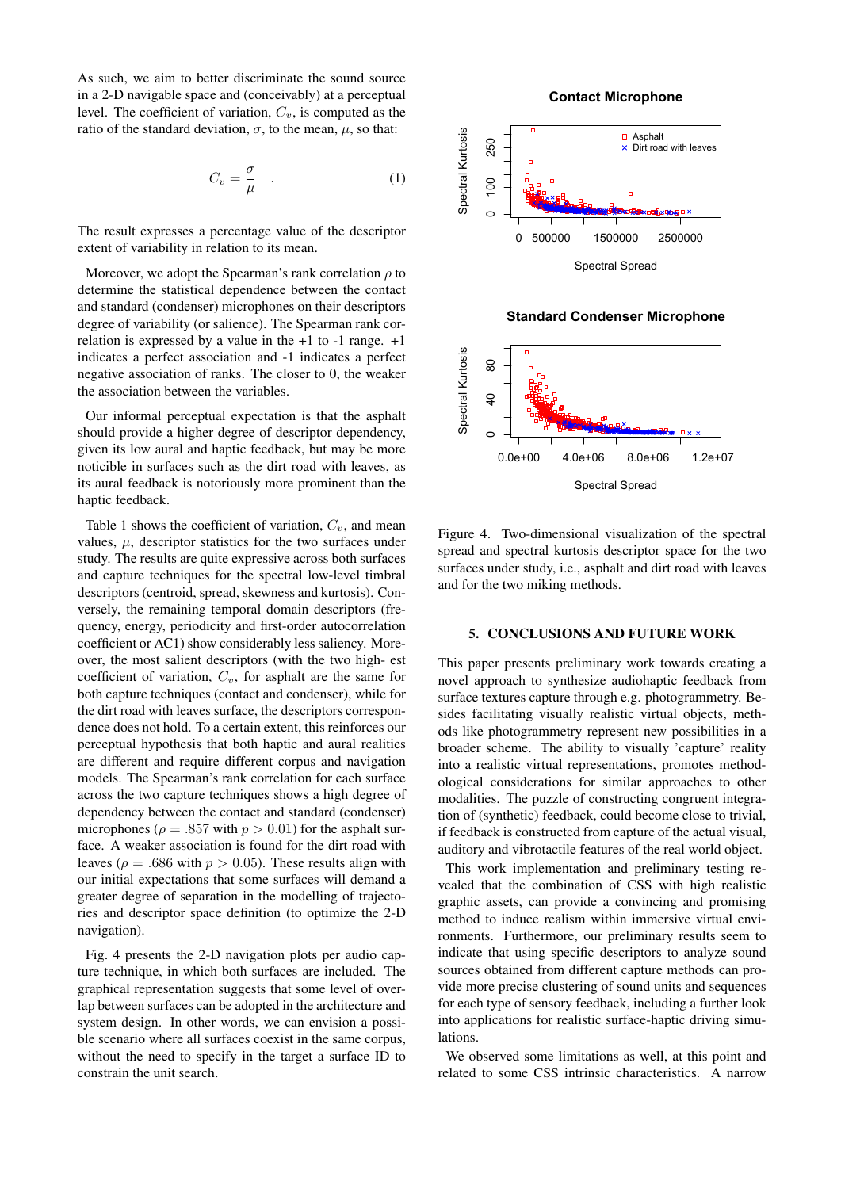As such, we aim to better discriminate the sound source in a 2-D navigable space and (conceivably) at a perceptual level. The coefficient of variation,  $C_v$ , is computed as the ratio of the standard deviation,  $\sigma$ , to the mean,  $\mu$ , so that:

$$
C_v = \frac{\sigma}{\mu} \quad . \tag{1}
$$

The result expresses a percentage value of the descriptor extent of variability in relation to its mean.

Moreover, we adopt the Spearman's rank correlation  $\rho$  to determine the statistical dependence between the contact and standard (condenser) microphones on their descriptors degree of variability (or salience). The Spearman rank correlation is expressed by a value in the  $+1$  to  $-1$  range.  $+1$ indicates a perfect association and -1 indicates a perfect negative association of ranks. The closer to 0, the weaker the association between the variables.

Our informal perceptual expectation is that the asphalt should provide a higher degree of descriptor dependency, given its low aural and haptic feedback, but may be more noticible in surfaces such as the dirt road with leaves, as its aural feedback is notoriously more prominent than the haptic feedback.

Table [1](#page-6-13) shows the coefficient of variation,  $C_v$ , and mean values,  $\mu$ , descriptor statistics for the two surfaces under study. The results are quite expressive across both surfaces and capture techniques for the spectral low-level timbral descriptors (centroid, spread, skewness and kurtosis). Conversely, the remaining temporal domain descriptors (frequency, energy, periodicity and first-order autocorrelation coefficient or AC1) show considerably less saliency. Moreover, the most salient descriptors (with the two high- est coefficient of variation,  $C_v$ , for asphalt are the same for both capture techniques (contact and condenser), while for the dirt road with leaves surface, the descriptors correspondence does not hold. To a certain extent, this reinforces our perceptual hypothesis that both haptic and aural realities are different and require different corpus and navigation models. The Spearman's rank correlation for each surface across the two capture techniques shows a high degree of dependency between the contact and standard (condenser) microphones ( $\rho = .857$  with  $p > 0.01$ ) for the asphalt surface. A weaker association is found for the dirt road with leaves ( $\rho = .686$  with  $p > 0.05$ ). These results align with our initial expectations that some surfaces will demand a greater degree of separation in the modelling of trajectories and descriptor space definition (to optimize the 2-D navigation).

Fig. [4](#page-5-0) presents the 2-D navigation plots per audio capture technique, in which both surfaces are included. The graphical representation suggests that some level of overlap between surfaces can be adopted in the architecture and system design. In other words, we can envision a possible scenario where all surfaces coexist in the same corpus, without the need to specify in the target a surface ID to constrain the unit search.

#### **Contact Microphone**

<span id="page-5-0"></span>

**Standard Condenser Microphone**



Figure 4. Two-dimensional visualization of the spectral spread and spectral kurtosis descriptor space for the two surfaces under study, i.e., asphalt and dirt road with leaves and for the two miking methods.

#### 5. CONCLUSIONS AND FUTURE WORK

This paper presents preliminary work towards creating a novel approach to synthesize audiohaptic feedback from surface textures capture through e.g. photogrammetry. Besides facilitating visually realistic virtual objects, methods like photogrammetry represent new possibilities in a broader scheme. The ability to visually 'capture' reality into a realistic virtual representations, promotes methodological considerations for similar approaches to other modalities. The puzzle of constructing congruent integration of (synthetic) feedback, could become close to trivial, if feedback is constructed from capture of the actual visual, auditory and vibrotactile features of the real world object.

This work implementation and preliminary testing revealed that the combination of CSS with high realistic graphic assets, can provide a convincing and promising method to induce realism within immersive virtual environments. Furthermore, our preliminary results seem to indicate that using specific descriptors to analyze sound sources obtained from different capture methods can provide more precise clustering of sound units and sequences for each type of sensory feedback, including a further look into applications for realistic surface-haptic driving simulations.

We observed some limitations as well, at this point and related to some CSS intrinsic characteristics. A narrow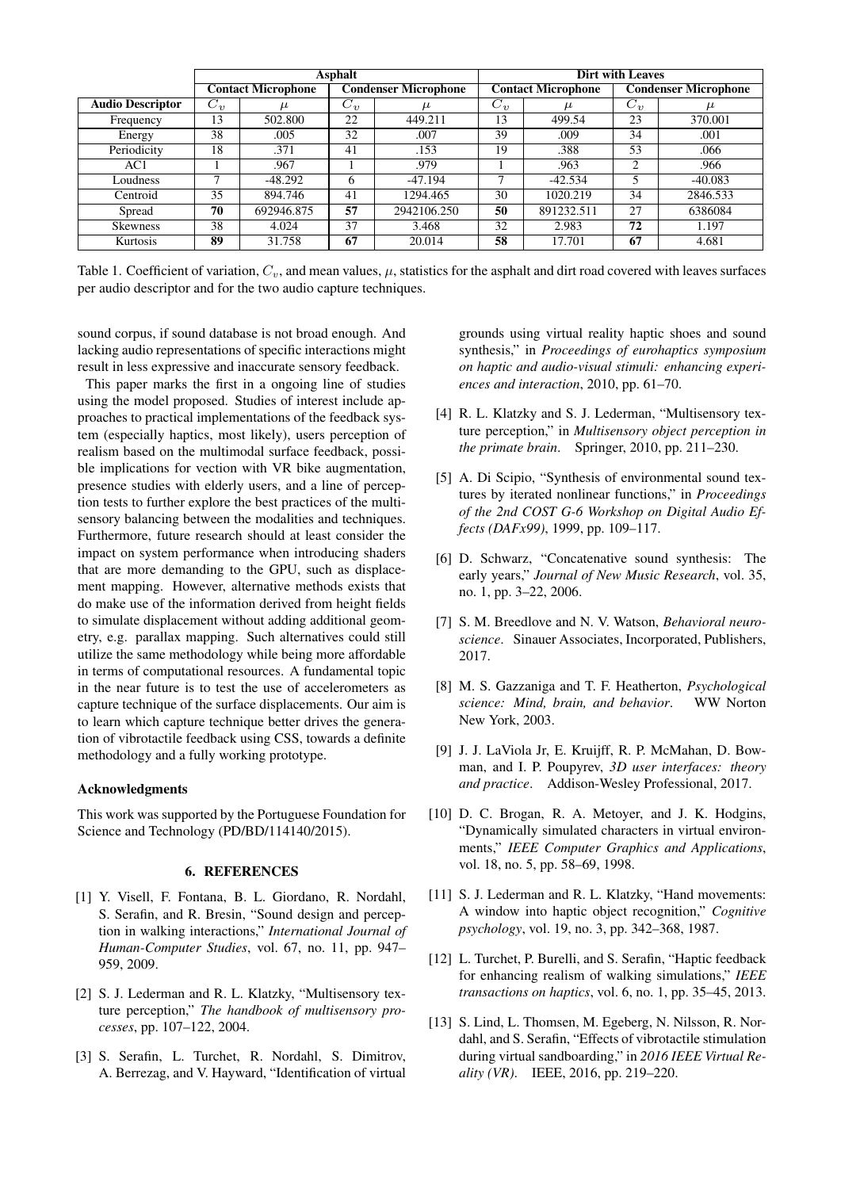|                         | <b>Asphalt</b>            |            |                             |             | <b>Dirt with Leaves</b>   |            |                             |           |
|-------------------------|---------------------------|------------|-----------------------------|-------------|---------------------------|------------|-----------------------------|-----------|
|                         | <b>Contact Microphone</b> |            | <b>Condenser Microphone</b> |             | <b>Contact Microphone</b> |            | <b>Condenser Microphone</b> |           |
| <b>Audio Descriptor</b> | $C_{\eta}$                | $\mu$      | $C_v$                       | μ           | $C_{\eta}$                | $\mu$      | $\overline{C_v}$            | μ         |
| Frequency               | 13                        | 502.800    | 22                          | 449.211     | 13                        | 499.54     | 23                          | 370.001   |
| Energy                  | 38                        | .005       | 32                          | .007        | 39                        | .009       | 34                          | .001      |
| Periodicity             | 18                        | .371       | 41                          | .153        | 19                        | .388       | 53                          | .066      |
| AC1                     |                           | .967       |                             | .979        |                           | .963       | ◠                           | .966      |
| Loudness                |                           | $-48.292$  | 6                           | $-47.194$   |                           | $-42.534$  |                             | $-40.083$ |
| Centroid                | 35                        | 894.746    | 41                          | 1294.465    | 30                        | 1020.219   | 34                          | 2846.533  |
| Spread                  | 70                        | 692946.875 | 57                          | 2942106.250 | 50                        | 891232.511 | 27                          | 6386084   |
| <b>Skewness</b>         | 38                        | 4.024      | 37                          | 3.468       | 32                        | 2.983      | 72                          | 1.197     |
| Kurtosis                | 89                        | 31.758     | 67                          | 20.014      | 58                        | 17.701     | 67                          | 4.681     |

<span id="page-6-13"></span>Table 1. Coefficient of variation,  $C_v$ , and mean values,  $\mu$ , statistics for the asphalt and dirt road covered with leaves surfaces per audio descriptor and for the two audio capture techniques.

sound corpus, if sound database is not broad enough. And lacking audio representations of specific interactions might result in less expressive and inaccurate sensory feedback.

This paper marks the first in a ongoing line of studies using the model proposed. Studies of interest include approaches to practical implementations of the feedback system (especially haptics, most likely), users perception of realism based on the multimodal surface feedback, possible implications for vection with VR bike augmentation, presence studies with elderly users, and a line of perception tests to further explore the best practices of the multisensory balancing between the modalities and techniques. Furthermore, future research should at least consider the impact on system performance when introducing shaders that are more demanding to the GPU, such as displacement mapping. However, alternative methods exists that do make use of the information derived from height fields to simulate displacement without adding additional geometry, e.g. parallax mapping. Such alternatives could still utilize the same methodology while being more affordable in terms of computational resources. A fundamental topic in the near future is to test the use of accelerometers as capture technique of the surface displacements. Our aim is to learn which capture technique better drives the generation of vibrotactile feedback using CSS, towards a definite methodology and a fully working prototype.

## Acknowledgments

This work was supported by the Portuguese Foundation for Science and Technology (PD/BD/114140/2015).

# 6. REFERENCES

- <span id="page-6-0"></span>[1] Y. Visell, F. Fontana, B. L. Giordano, R. Nordahl, S. Serafin, and R. Bresin, "Sound design and perception in walking interactions," *International Journal of Human-Computer Studies*, vol. 67, no. 11, pp. 947– 959, 2009.
- <span id="page-6-1"></span>[2] S. J. Lederman and R. L. Klatzky, "Multisensory texture perception," *The handbook of multisensory processes*, pp. 107–122, 2004.
- <span id="page-6-2"></span>[3] S. Serafin, L. Turchet, R. Nordahl, S. Dimitrov, A. Berrezag, and V. Hayward, "Identification of virtual

grounds using virtual reality haptic shoes and sound synthesis," in *Proceedings of eurohaptics symposium on haptic and audio-visual stimuli: enhancing experiences and interaction*, 2010, pp. 61–70.

- <span id="page-6-3"></span>[4] R. L. Klatzky and S. J. Lederman, "Multisensory texture perception," in *Multisensory object perception in the primate brain*. Springer, 2010, pp. 211–230.
- <span id="page-6-4"></span>[5] A. Di Scipio, "Synthesis of environmental sound textures by iterated nonlinear functions," in *Proceedings of the 2nd COST G-6 Workshop on Digital Audio Effects (DAFx99)*, 1999, pp. 109–117.
- <span id="page-6-5"></span>[6] D. Schwarz, "Concatenative sound synthesis: The early years," *Journal of New Music Research*, vol. 35, no. 1, pp. 3–22, 2006.
- <span id="page-6-6"></span>[7] S. M. Breedlove and N. V. Watson, *Behavioral neuroscience*. Sinauer Associates, Incorporated, Publishers, 2017.
- <span id="page-6-7"></span>[8] M. S. Gazzaniga and T. F. Heatherton, *Psychological science: Mind, brain, and behavior*. WW Norton New York, 2003.
- <span id="page-6-8"></span>[9] J. J. LaViola Jr, E. Kruijff, R. P. McMahan, D. Bowman, and I. P. Poupyrev, *3D user interfaces: theory and practice*. Addison-Wesley Professional, 2017.
- <span id="page-6-9"></span>[10] D. C. Brogan, R. A. Metoyer, and J. K. Hodgins, "Dynamically simulated characters in virtual environments," *IEEE Computer Graphics and Applications*, vol. 18, no. 5, pp. 58–69, 1998.
- <span id="page-6-10"></span>[11] S. J. Lederman and R. L. Klatzky, "Hand movements: A window into haptic object recognition," *Cognitive psychology*, vol. 19, no. 3, pp. 342–368, 1987.
- <span id="page-6-11"></span>[12] L. Turchet, P. Burelli, and S. Serafin, "Haptic feedback" for enhancing realism of walking simulations," *IEEE transactions on haptics*, vol. 6, no. 1, pp. 35–45, 2013.
- <span id="page-6-12"></span>[13] S. Lind, L. Thomsen, M. Egeberg, N. Nilsson, R. Nordahl, and S. Serafin, "Effects of vibrotactile stimulation during virtual sandboarding," in *2016 IEEE Virtual Reality (VR)*. IEEE, 2016, pp. 219–220.